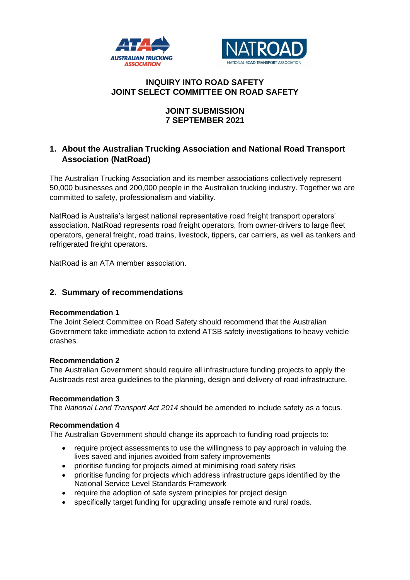



# **INQUIRY INTO ROAD SAFETY JOINT SELECT COMMITTEE ON ROAD SAFETY**

# **JOINT SUBMISSION 7 SEPTEMBER 2021**

# **1. About the Australian Trucking Association and National Road Transport Association (NatRoad)**

The Australian Trucking Association and its member associations collectively represent 50,000 businesses and 200,000 people in the Australian trucking industry. Together we are committed to safety, professionalism and viability.

NatRoad is Australia's largest national representative road freight transport operators' association. NatRoad represents road freight operators, from owner-drivers to large fleet operators, general freight, road trains, livestock, tippers, car carriers, as well as tankers and refrigerated freight operators.

NatRoad is an ATA member association.

# **2. Summary of recommendations**

## **Recommendation 1**

The Joint Select Committee on Road Safety should recommend that the Australian Government take immediate action to extend ATSB safety investigations to heavy vehicle crashes.

## **Recommendation 2**

The Australian Government should require all infrastructure funding projects to apply the Austroads rest area guidelines to the planning, design and delivery of road infrastructure.

#### **Recommendation 3**

The *National Land Transport Act 2014* should be amended to include safety as a focus.

#### **Recommendation 4**

The Australian Government should change its approach to funding road projects to:

- require project assessments to use the willingness to pay approach in valuing the lives saved and injuries avoided from safety improvements
- prioritise funding for projects aimed at minimising road safety risks
- prioritise funding for projects which address infrastructure gaps identified by the National Service Level Standards Framework
- require the adoption of safe system principles for project design
- specifically target funding for upgrading unsafe remote and rural roads.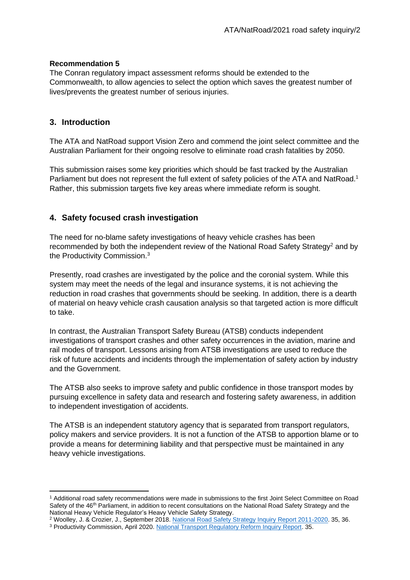# **Recommendation 5**

The Conran regulatory impact assessment reforms should be extended to the Commonwealth, to allow agencies to select the option which saves the greatest number of lives/prevents the greatest number of serious injuries.

# **3. Introduction**

The ATA and NatRoad support Vision Zero and commend the joint select committee and the Australian Parliament for their ongoing resolve to eliminate road crash fatalities by 2050.

This submission raises some key priorities which should be fast tracked by the Australian Parliament but does not represent the full extent of safety policies of the ATA and NatRoad.<sup>1</sup> Rather, this submission targets five key areas where immediate reform is sought.

# **4. Safety focused crash investigation**

The need for no-blame safety investigations of heavy vehicle crashes has been recommended by both the independent review of the National Road Safety Strategy<sup>2</sup> and by the Productivity Commission.<sup>3</sup>

Presently, road crashes are investigated by the police and the coronial system. While this system may meet the needs of the legal and insurance systems, it is not achieving the reduction in road crashes that governments should be seeking. In addition, there is a dearth of material on heavy vehicle crash causation analysis so that targeted action is more difficult to take.

In contrast, the Australian Transport Safety Bureau (ATSB) conducts independent investigations of transport crashes and other safety occurrences in the aviation, marine and rail modes of transport. Lessons arising from ATSB investigations are used to reduce the risk of future accidents and incidents through the implementation of safety action by industry and the Government.

The ATSB also seeks to improve safety and public confidence in those transport modes by pursuing excellence in safety data and research and fostering safety awareness, in addition to independent investigation of accidents.

The ATSB is an independent statutory agency that is separated from transport regulators, policy makers and service providers. It is not a function of the ATSB to apportion blame or to provide a means for determining liability and that perspective must be maintained in any heavy vehicle investigations.

<sup>2</sup> Woolley, J. & Crozier, J., September 2018. [National Road Safety Strategy Inquiry Report 2011-2020.](https://www.roadsafety.gov.au/sites/default/files/2019-11/nrss_inquiry_final_report_september_2018_v2.pdf) 35, 36. <sup>3</sup> Productivity Commission, April 2020. [National Transport Regulatory Reform Inquiry Report.](https://www.pc.gov.au/inquiries/completed/transport/report/transport.pdf) 35.

<sup>1</sup> Additional road safety recommendations were made in submissions to the first Joint Select Committee on Road Safety of the 46<sup>th</sup> Parliament, in addition to recent consultations on the National Road Safety Strategy and the National Heavy Vehicle Regulator's Heavy Vehicle Safety Strategy.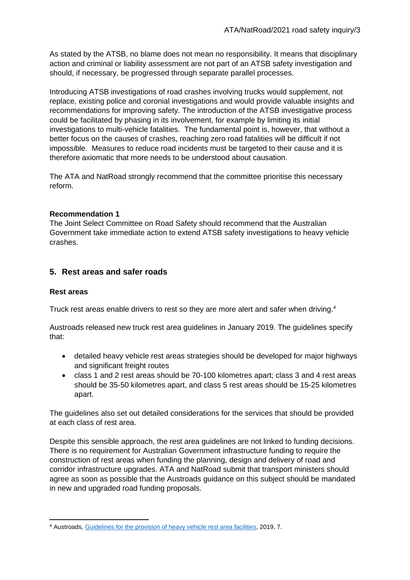As stated by the ATSB, no blame does not mean no responsibility. It means that disciplinary action and criminal or liability assessment are not part of an ATSB safety investigation and should, if necessary, be progressed through separate parallel processes.

Introducing ATSB investigations of road crashes involving trucks would supplement, not replace, existing police and coronial investigations and would provide valuable insights and recommendations for improving safety. The introduction of the ATSB investigative process could be facilitated by phasing in its involvement, for example by limiting its initial investigations to multi-vehicle fatalities. The fundamental point is, however, that without a better focus on the causes of crashes, reaching zero road fatalities will be difficult if not impossible. Measures to reduce road incidents must be targeted to their cause and it is therefore axiomatic that more needs to be understood about causation.

The ATA and NatRoad strongly recommend that the committee prioritise this necessary reform.

# **Recommendation 1**

The Joint Select Committee on Road Safety should recommend that the Australian Government take immediate action to extend ATSB safety investigations to heavy vehicle crashes.

# **5. Rest areas and safer roads**

## **Rest areas**

Truck rest areas enable drivers to rest so they are more alert and safer when driving.<sup>4</sup>

Austroads released new truck rest area guidelines in January 2019. The guidelines specify that:

- detailed heavy vehicle rest areas strategies should be developed for major highways and significant freight routes
- class 1 and 2 rest areas should be 70-100 kilometres apart; class 3 and 4 rest areas should be 35-50 kilometres apart, and class 5 rest areas should be 15-25 kilometres apart.

The guidelines also set out detailed considerations for the services that should be provided at each class of rest area.

Despite this sensible approach, the rest area guidelines are not linked to funding decisions. There is no requirement for Australian Government infrastructure funding to require the construction of rest areas when funding the planning, design and delivery of road and corridor infrastructure upgrades. ATA and NatRoad submit that transport ministers should agree as soon as possible that the Austroads guidance on this subject should be mandated in new and upgraded road funding proposals.

<sup>4</sup> Austroads, [Guidelines for the provision of heavy vehicle rest area facilities,](https://austroads.com.au/publications/freight/ap-r591-19) 2019, 7.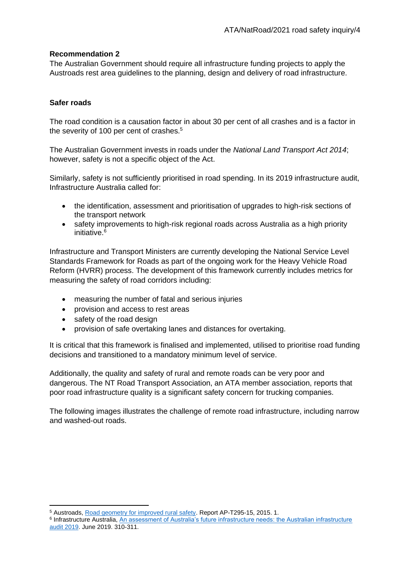# **Recommendation 2**

The Australian Government should require all infrastructure funding projects to apply the Austroads rest area guidelines to the planning, design and delivery of road infrastructure.

# **Safer roads**

The road condition is a causation factor in about 30 per cent of all crashes and is a factor in the severity of 100 per cent of crashes.<sup>5</sup>

The Australian Government invests in roads under the *National Land Transport Act 2014*; however, safety is not a specific object of the Act.

Similarly, safety is not sufficiently prioritised in road spending. In its 2019 infrastructure audit, Infrastructure Australia called for:

- the identification, assessment and prioritisation of upgrades to high-risk sections of the transport network
- safety improvements to high-risk regional roads across Australia as a high priority initiative. 6

Infrastructure and Transport Ministers are currently developing the National Service Level Standards Framework for Roads as part of the ongoing work for the Heavy Vehicle Road Reform (HVRR) process. The development of this framework currently includes metrics for measuring the safety of road corridors including:

- measuring the number of fatal and serious injuries
- provision and access to rest areas
- safety of the road design
- provision of safe overtaking lanes and distances for overtaking.

It is critical that this framework is finalised and implemented, utilised to prioritise road funding decisions and transitioned to a mandatory minimum level of service.

Additionally, the quality and safety of rural and remote roads can be very poor and dangerous. The NT Road Transport Association, an ATA member association, reports that poor road infrastructure quality is a significant safety concern for trucking companies.

The following images illustrates the challenge of remote road infrastructure, including narrow and washed-out roads.

<sup>5</sup> Austroads, [Road geometry for improved rural safety.](https://austroads.com.au/publications/road-safety/ap-t295-15) Report AP-T295-15, 2015. 1.

<sup>6</sup> Infrastructure Australia, [An assessment of Australia's future infrastructure needs: the Australian infrastructure](https://www.infrastructureaustralia.gov.au/sites/default/files/2019-08/Australian%20Infrastructure%20Audit%202019.pdf)  [audit 2019.](https://www.infrastructureaustralia.gov.au/sites/default/files/2019-08/Australian%20Infrastructure%20Audit%202019.pdf) June 2019. 310-311.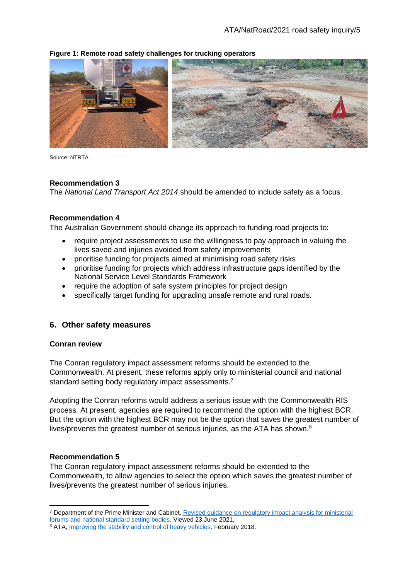### **Figure 1: Remote road safety challenges for trucking operators**

Source: NTRTA

#### **Recommendation 3**

The *National Land Transport Act 2014* should be amended to include safety as a focus.

#### **Recommendation 4**

The Australian Government should change its approach to funding road projects to:

- require project assessments to use the willingness to pay approach in valuing the lives saved and injuries avoided from safety improvements
- prioritise funding for projects aimed at minimising road safety risks
- prioritise funding for projects which address infrastructure gaps identified by the National Service Level Standards Framework
- require the adoption of safe system principles for project design
- specifically target funding for upgrading unsafe remote and rural roads.

## **6. Other safety measures**

#### **Conran review**

The Conran regulatory impact assessment reforms should be extended to the Commonwealth. At present, these reforms apply only to ministerial council and national standard setting body regulatory impact assessments.<sup>7</sup>

Adopting the Conran reforms would address a serious issue with the Commonwealth RIS process. At present, agencies are required to recommend the option with the highest BCR. But the option with the highest BCR may not be the option that saves the greatest number of lives/prevents the greatest number of serious injuries, as the ATA has shown.<sup>8</sup>

### **Recommendation 5**

The Conran regulatory impact assessment reforms should be extended to the Commonwealth, to allow agencies to select the option which saves the greatest number of lives/prevents the greatest number of serious injuries.

<sup>7</sup> Department of the Prime Minister and Cabinet, [Revised guidance on regulatory impact analysis for ministerial](https://obpr.pmc.gov.au/)  [forums and national standard setting bodies.](https://obpr.pmc.gov.au/) Viewed 23 June 2021.

<sup>8</sup> ATA, [Improving the stability and control of heavy vehicles.](https://www.truck.net.au/advocacy/submissions/improving-stability-and-control-heavy-vehicles) February 2018.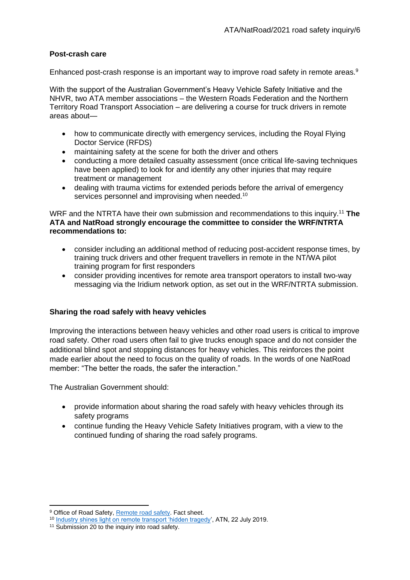## **Post-crash care**

Enhanced post-crash response is an important way to improve road safety in remote areas.<sup>9</sup>

With the support of the Australian Government's Heavy Vehicle Safety Initiative and the NHVR, two ATA member associations – the Western Roads Federation and the Northern Territory Road Transport Association – are delivering a course for truck drivers in remote areas about—

- how to communicate directly with emergency services, including the Royal Flying Doctor Service (RFDS)
- maintaining safety at the scene for both the driver and others
- conducting a more detailed casualty assessment (once critical life-saving techniques have been applied) to look for and identify any other injuries that may require treatment or management
- dealing with trauma victims for extended periods before the arrival of emergency services personnel and improvising when needed.<sup>10</sup>

WRF and the NTRTA have their own submission and recommendations to this inquiry.<sup>11</sup> **The ATA and NatRoad strongly encourage the committee to consider the WRF/NTRTA recommendations to:**

- consider including an additional method of reducing post-accident response times, by training truck drivers and other frequent travellers in remote in the NT/WA pilot training program for first responders
- consider providing incentives for remote area transport operators to install two-way messaging via the Iridium network option, as set out in the WRF/NTRTA submission.

## **Sharing the road safely with heavy vehicles**

Improving the interactions between heavy vehicles and other road users is critical to improve road safety. Other road users often fail to give trucks enough space and do not consider the additional blind spot and stopping distances for heavy vehicles. This reinforces the point made earlier about the need to focus on the quality of roads. In the words of one NatRoad member: "The better the roads, the safer the interaction."

The Australian Government should:

- provide information about sharing the road safely with heavy vehicles through its safety programs
- continue funding the Heavy Vehicle Safety Initiatives program, with a view to the continued funding of sharing the road safely programs.

<sup>&</sup>lt;sup>9</sup> Office of Road Safety[, Remote road safety.](https://www.officeofroadsafety.gov.au/nrss/resources-fact-sheets/remote-road-safety) Fact sheet.

<sup>10</sup> [Industry shines light on remote transport 'hidden tragedy'](https://www.fullyloaded.com.au/industry-news/1907/industry-shines-light-on-remote-transport-hidden-tragedy), ATN, 22 July 2019.

<sup>&</sup>lt;sup>11</sup> Submission 20 to the inquiry into road safety.